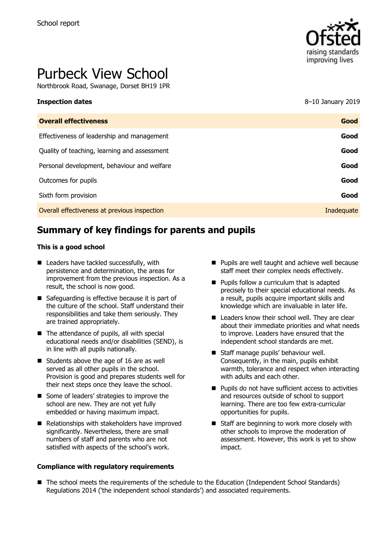

# Purbeck View School

Northbrook Road, Swanage, Dorset BH19 1PR

| <b>Inspection dates</b>                      | 8–10 January 2019 |
|----------------------------------------------|-------------------|
| <b>Overall effectiveness</b>                 | Good              |
| Effectiveness of leadership and management   | Good              |
| Quality of teaching, learning and assessment | Good              |
| Personal development, behaviour and welfare  | Good              |
| Outcomes for pupils                          | Good              |
| Sixth form provision                         | Good              |
| Overall effectiveness at previous inspection | Inadequate        |

# **Summary of key findings for parents and pupils**

#### **This is a good school**

- Leaders have tackled successfully, with persistence and determination, the areas for improvement from the previous inspection. As a result, the school is now good.
- Safeguarding is effective because it is part of the culture of the school. Staff understand their responsibilities and take them seriously. They are trained appropriately.
- $\blacksquare$  The attendance of pupils, all with special educational needs and/or disabilities (SEND), is in line with all pupils nationally.
- Students above the age of 16 are as well served as all other pupils in the school. Provision is good and prepares students well for their next steps once they leave the school.
- Some of leaders' strategies to improve the school are new. They are not yet fully embedded or having maximum impact.
- Relationships with stakeholders have improved significantly. Nevertheless, there are small numbers of staff and parents who are not satisfied with aspects of the school's work.

#### **Compliance with regulatory requirements**

- **Pupils are well taught and achieve well because** staff meet their complex needs effectively.
- **Pupils follow a curriculum that is adapted** precisely to their special educational needs. As a result, pupils acquire important skills and knowledge which are invaluable in later life.
- Leaders know their school well. They are clear about their immediate priorities and what needs to improve. Leaders have ensured that the independent school standards are met.
- Staff manage pupils' behaviour well. Consequently, in the main, pupils exhibit warmth, tolerance and respect when interacting with adults and each other.
- **Pupils do not have sufficient access to activities** and resources outside of school to support learning. There are too few extra-curricular opportunities for pupils.
- Staff are beginning to work more closely with other schools to improve the moderation of assessment. However, this work is yet to show impact.
- The school meets the requirements of the schedule to the Education (Independent School Standards) Regulations 2014 ('the independent school standards') and associated requirements.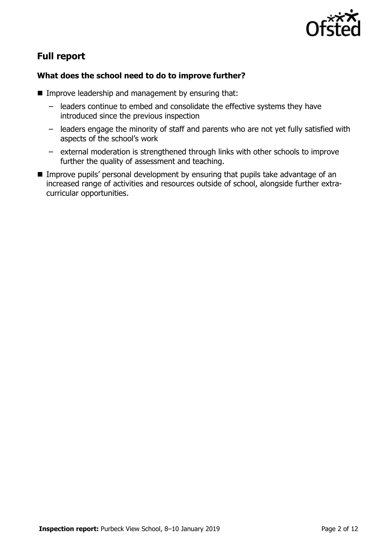

# **Full report**

### **What does the school need to do to improve further?**

- **IMPROVE LEADERSHIP and management by ensuring that:** 
	- leaders continue to embed and consolidate the effective systems they have introduced since the previous inspection
	- leaders engage the minority of staff and parents who are not yet fully satisfied with aspects of the school's work
	- external moderation is strengthened through links with other schools to improve further the quality of assessment and teaching.
- Improve pupils' personal development by ensuring that pupils take advantage of an increased range of activities and resources outside of school, alongside further extracurricular opportunities.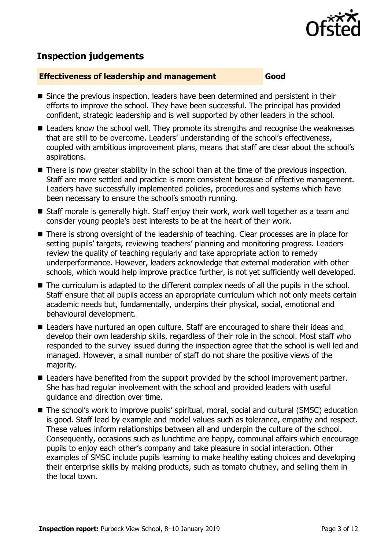

## **Inspection judgements**

#### **Effectiveness of leadership and management Good**

- Since the previous inspection, leaders have been determined and persistent in their efforts to improve the school. They have been successful. The principal has provided confident, strategic leadership and is well supported by other leaders in the school.
- Leaders know the school well. They promote its strengths and recognise the weaknesses that are still to be overcome. Leaders' understanding of the school's effectiveness, coupled with ambitious improvement plans, means that staff are clear about the school's aspirations.
- There is now greater stability in the school than at the time of the previous inspection. Staff are more settled and practice is more consistent because of effective management. Leaders have successfully implemented policies, procedures and systems which have been necessary to ensure the school's smooth running.
- Staff morale is generally high. Staff enjoy their work, work well together as a team and consider young people's best interests to be at the heart of their work.
- There is strong oversight of the leadership of teaching. Clear processes are in place for setting pupils' targets, reviewing teachers' planning and monitoring progress. Leaders review the quality of teaching regularly and take appropriate action to remedy underperformance. However, leaders acknowledge that external moderation with other schools, which would help improve practice further, is not yet sufficiently well developed.
- The curriculum is adapted to the different complex needs of all the pupils in the school. Staff ensure that all pupils access an appropriate curriculum which not only meets certain academic needs but, fundamentally, underpins their physical, social, emotional and behavioural development.
- Leaders have nurtured an open culture. Staff are encouraged to share their ideas and develop their own leadership skills, regardless of their role in the school. Most staff who responded to the survey issued during the inspection agree that the school is well led and managed. However, a small number of staff do not share the positive views of the majority.
- Leaders have benefited from the support provided by the school improvement partner. She has had regular involvement with the school and provided leaders with useful guidance and direction over time.
- The school's work to improve pupils' spiritual, moral, social and cultural (SMSC) education is good. Staff lead by example and model values such as tolerance, empathy and respect. These values inform relationships between all and underpin the culture of the school. Consequently, occasions such as lunchtime are happy, communal affairs which encourage pupils to enjoy each other's company and take pleasure in social interaction. Other examples of SMSC include pupils learning to make healthy eating choices and developing their enterprise skills by making products, such as tomato chutney, and selling them in the local town.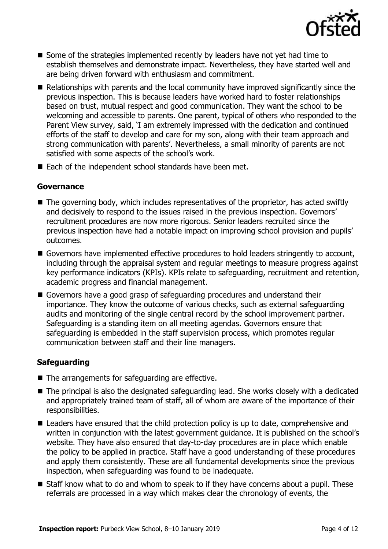

- $\blacksquare$  Some of the strategies implemented recently by leaders have not yet had time to establish themselves and demonstrate impact. Nevertheless, they have started well and are being driven forward with enthusiasm and commitment.
- Relationships with parents and the local community have improved significantly since the previous inspection. This is because leaders have worked hard to foster relationships based on trust, mutual respect and good communication. They want the school to be welcoming and accessible to parents. One parent, typical of others who responded to the Parent View survey, said, 'I am extremely impressed with the dedication and continued efforts of the staff to develop and care for my son, along with their team approach and strong communication with parents'. Nevertheless, a small minority of parents are not satisfied with some aspects of the school's work.
- $\blacksquare$  Each of the independent school standards have been met.

#### **Governance**

- The governing body, which includes representatives of the proprietor, has acted swiftly and decisively to respond to the issues raised in the previous inspection. Governors' recruitment procedures are now more rigorous. Senior leaders recruited since the previous inspection have had a notable impact on improving school provision and pupils' outcomes.
- Governors have implemented effective procedures to hold leaders stringently to account, including through the appraisal system and regular meetings to measure progress against key performance indicators (KPIs). KPIs relate to safeguarding, recruitment and retention, academic progress and financial management.
- Governors have a good grasp of safeguarding procedures and understand their importance. They know the outcome of various checks, such as external safeguarding audits and monitoring of the single central record by the school improvement partner. Safeguarding is a standing item on all meeting agendas. Governors ensure that safeguarding is embedded in the staff supervision process, which promotes regular communication between staff and their line managers.

### **Safeguarding**

- The arrangements for safeguarding are effective.
- The principal is also the designated safeguarding lead. She works closely with a dedicated and appropriately trained team of staff, all of whom are aware of the importance of their responsibilities.
- Leaders have ensured that the child protection policy is up to date, comprehensive and written in conjunction with the latest government guidance. It is published on the school's website. They have also ensured that day-to-day procedures are in place which enable the policy to be applied in practice. Staff have a good understanding of these procedures and apply them consistently. These are all fundamental developments since the previous inspection, when safeguarding was found to be inadequate.
- Staff know what to do and whom to speak to if they have concerns about a pupil. These referrals are processed in a way which makes clear the chronology of events, the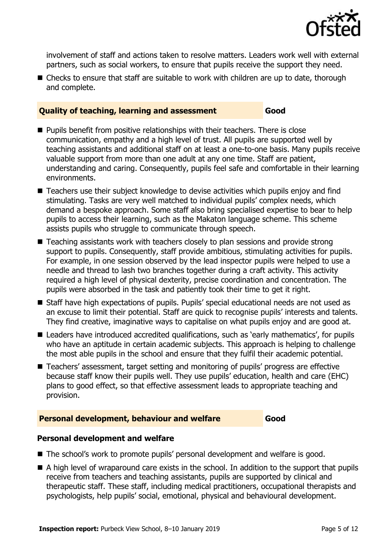

involvement of staff and actions taken to resolve matters. Leaders work well with external partners, such as social workers, to ensure that pupils receive the support they need.

■ Checks to ensure that staff are suitable to work with children are up to date, thorough and complete.

#### **Quality of teaching, learning and assessment Good**

- **Pupils benefit from positive relationships with their teachers. There is close** communication, empathy and a high level of trust. All pupils are supported well by teaching assistants and additional staff on at least a one-to-one basis. Many pupils receive valuable support from more than one adult at any one time. Staff are patient, understanding and caring. Consequently, pupils feel safe and comfortable in their learning environments.
- Teachers use their subject knowledge to devise activities which pupils enjoy and find stimulating. Tasks are very well matched to individual pupils' complex needs, which demand a bespoke approach. Some staff also bring specialised expertise to bear to help pupils to access their learning, such as the Makaton language scheme. This scheme assists pupils who struggle to communicate through speech.
- Teaching assistants work with teachers closely to plan sessions and provide strong support to pupils. Consequently, staff provide ambitious, stimulating activities for pupils. For example, in one session observed by the lead inspector pupils were helped to use a needle and thread to lash two branches together during a craft activity. This activity required a high level of physical dexterity, precise coordination and concentration. The pupils were absorbed in the task and patiently took their time to get it right.
- Staff have high expectations of pupils. Pupils' special educational needs are not used as an excuse to limit their potential. Staff are quick to recognise pupils' interests and talents. They find creative, imaginative ways to capitalise on what pupils enjoy and are good at.
- Leaders have introduced accredited qualifications, such as 'early mathematics', for pupils who have an aptitude in certain academic subjects. This approach is helping to challenge the most able pupils in the school and ensure that they fulfil their academic potential.
- Teachers' assessment, target setting and monitoring of pupils' progress are effective because staff know their pupils well. They use pupils' education, health and care (EHC) plans to good effect, so that effective assessment leads to appropriate teaching and provision.

### **Personal development, behaviour and welfare Good**

### **Personal development and welfare**

- The school's work to promote pupils' personal development and welfare is good.
- A high level of wraparound care exists in the school. In addition to the support that pupils receive from teachers and teaching assistants, pupils are supported by clinical and therapeutic staff. These staff, including medical practitioners, occupational therapists and psychologists, help pupils' social, emotional, physical and behavioural development.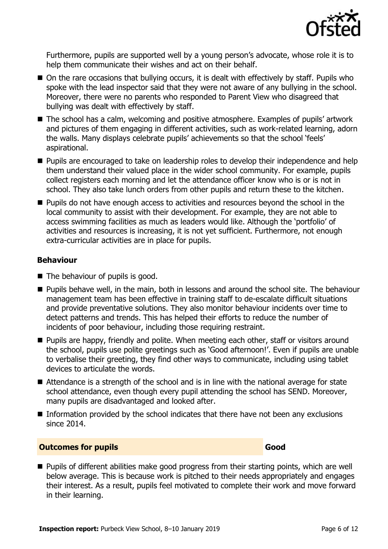

Furthermore, pupils are supported well by a young person's advocate, whose role it is to help them communicate their wishes and act on their behalf.

- On the rare occasions that bullying occurs, it is dealt with effectively by staff. Pupils who spoke with the lead inspector said that they were not aware of any bullying in the school. Moreover, there were no parents who responded to Parent View who disagreed that bullying was dealt with effectively by staff.
- The school has a calm, welcoming and positive atmosphere. Examples of pupils' artwork and pictures of them engaging in different activities, such as work-related learning, adorn the walls. Many displays celebrate pupils' achievements so that the school 'feels' aspirational.
- **Pupils are encouraged to take on leadership roles to develop their independence and help** them understand their valued place in the wider school community. For example, pupils collect registers each morning and let the attendance officer know who is or is not in school. They also take lunch orders from other pupils and return these to the kitchen.
- **Pupils do not have enough access to activities and resources beyond the school in the** local community to assist with their development. For example, they are not able to access swimming facilities as much as leaders would like. Although the 'portfolio' of activities and resources is increasing, it is not yet sufficient. Furthermore, not enough extra-curricular activities are in place for pupils.

### **Behaviour**

- $\blacksquare$  The behaviour of pupils is good.
- **Pupils behave well, in the main, both in lessons and around the school site. The behaviour** management team has been effective in training staff to de-escalate difficult situations and provide preventative solutions. They also monitor behaviour incidents over time to detect patterns and trends. This has helped their efforts to reduce the number of incidents of poor behaviour, including those requiring restraint.
- **Pupils are happy, friendly and polite. When meeting each other, staff or visitors around** the school, pupils use polite greetings such as 'Good afternoon!'. Even if pupils are unable to verbalise their greeting, they find other ways to communicate, including using tablet devices to articulate the words.
- Attendance is a strength of the school and is in line with the national average for state school attendance, even though every pupil attending the school has SEND. Moreover, many pupils are disadvantaged and looked after.
- Information provided by the school indicates that there have not been any exclusions since 2014.

### **Outcomes for pupils Good**

**Pupils of different abilities make good progress from their starting points, which are well** below average. This is because work is pitched to their needs appropriately and engages their interest. As a result, pupils feel motivated to complete their work and move forward in their learning.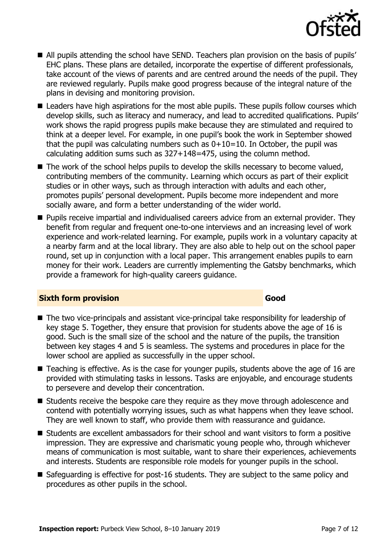

- All pupils attending the school have SEND. Teachers plan provision on the basis of pupils' EHC plans. These plans are detailed, incorporate the expertise of different professionals, take account of the views of parents and are centred around the needs of the pupil. They are reviewed regularly. Pupils make good progress because of the integral nature of the plans in devising and monitoring provision.
- Leaders have high aspirations for the most able pupils. These pupils follow courses which develop skills, such as literacy and numeracy, and lead to accredited qualifications. Pupils' work shows the rapid progress pupils make because they are stimulated and required to think at a deeper level. For example, in one pupil's book the work in September showed that the pupil was calculating numbers such as  $0+10=10$ . In October, the pupil was calculating addition sums such as 327+148=475, using the column method.
- $\blacksquare$  The work of the school helps pupils to develop the skills necessary to become valued, contributing members of the community. Learning which occurs as part of their explicit studies or in other ways, such as through interaction with adults and each other, promotes pupils' personal development. Pupils become more independent and more socially aware, and form a better understanding of the wider world.
- **Pupils receive impartial and individualised careers advice from an external provider. They** benefit from regular and frequent one-to-one interviews and an increasing level of work experience and work-related learning. For example, pupils work in a voluntary capacity at a nearby farm and at the local library. They are also able to help out on the school paper round, set up in conjunction with a local paper. This arrangement enables pupils to earn money for their work. Leaders are currently implementing the Gatsby benchmarks, which provide a framework for high-quality careers guidance.

#### **Sixth form provision Good**

- The two vice-principals and assistant vice-principal take responsibility for leadership of key stage 5. Together, they ensure that provision for students above the age of 16 is good. Such is the small size of the school and the nature of the pupils, the transition between key stages 4 and 5 is seamless. The systems and procedures in place for the lower school are applied as successfully in the upper school.
- Teaching is effective. As is the case for younger pupils, students above the age of 16 are provided with stimulating tasks in lessons. Tasks are enjoyable, and encourage students to persevere and develop their concentration.
- Students receive the bespoke care they require as they move through adolescence and contend with potentially worrying issues, such as what happens when they leave school. They are well known to staff, who provide them with reassurance and guidance.
- Students are excellent ambassadors for their school and want visitors to form a positive impression. They are expressive and charismatic young people who, through whichever means of communication is most suitable, want to share their experiences, achievements and interests. Students are responsible role models for younger pupils in the school.
- Safeguarding is effective for post-16 students. They are subject to the same policy and procedures as other pupils in the school.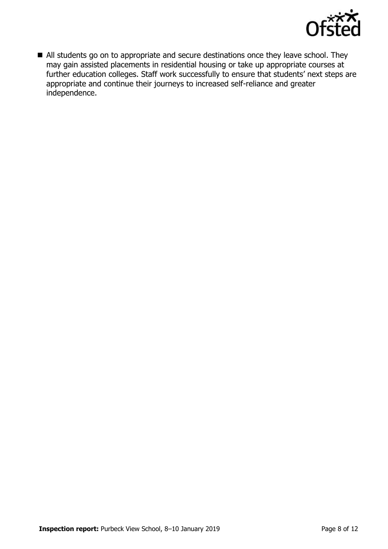

All students go on to appropriate and secure destinations once they leave school. They may gain assisted placements in residential housing or take up appropriate courses at further education colleges. Staff work successfully to ensure that students' next steps are appropriate and continue their journeys to increased self-reliance and greater independence.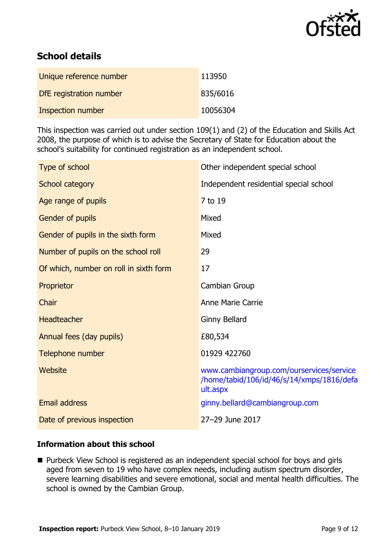

# **School details**

| Unique reference number  | 113950   |
|--------------------------|----------|
| DfE registration number  | 835/6016 |
| <b>Inspection number</b> | 10056304 |

This inspection was carried out under section 109(1) and (2) of the Education and Skills Act 2008, the purpose of which is to advise the Secretary of State for Education about the school's suitability for continued registration as an independent school.

| Other independent special school                                                                  |
|---------------------------------------------------------------------------------------------------|
| Independent residential special school                                                            |
| 7 to 19                                                                                           |
| Mixed                                                                                             |
| Mixed                                                                                             |
| 29                                                                                                |
| 17                                                                                                |
| Cambian Group                                                                                     |
| <b>Anne Marie Carrie</b>                                                                          |
| <b>Ginny Bellard</b>                                                                              |
| £80,534                                                                                           |
| 01929 422760                                                                                      |
| www.cambiangroup.com/ourservices/service<br>/home/tabid/106/id/46/s/14/xmps/1816/defa<br>ult.aspx |
| ginny.bellard@cambiangroup.com                                                                    |
| 27-29 June 2017                                                                                   |
|                                                                                                   |

### **Information about this school**

■ Purbeck View School is registered as an independent special school for boys and girls aged from seven to 19 who have complex needs, including autism spectrum disorder, severe learning disabilities and severe emotional, social and mental health difficulties. The school is owned by the Cambian Group.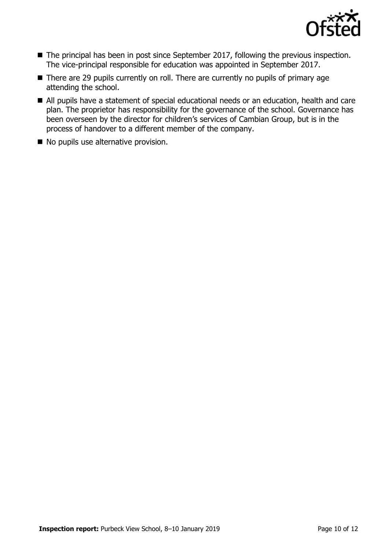

- The principal has been in post since September 2017, following the previous inspection. The vice-principal responsible for education was appointed in September 2017.
- There are 29 pupils currently on roll. There are currently no pupils of primary age attending the school.
- All pupils have a statement of special educational needs or an education, health and care plan. The proprietor has responsibility for the governance of the school. Governance has been overseen by the director for children's services of Cambian Group, but is in the process of handover to a different member of the company.
- No pupils use alternative provision.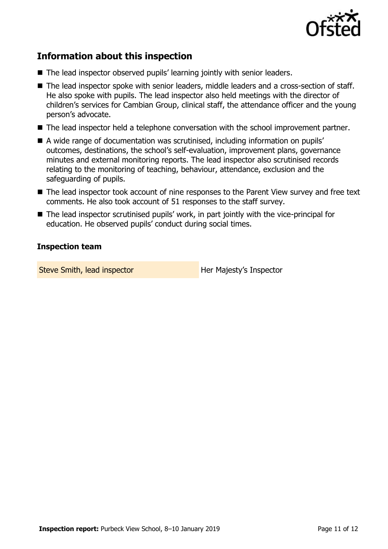

# **Information about this inspection**

- The lead inspector observed pupils' learning jointly with senior leaders.
- The lead inspector spoke with senior leaders, middle leaders and a cross-section of staff. He also spoke with pupils. The lead inspector also held meetings with the director of children's services for Cambian Group, clinical staff, the attendance officer and the young person's advocate.
- The lead inspector held a telephone conversation with the school improvement partner.
- A wide range of documentation was scrutinised, including information on pupils' outcomes, destinations, the school's self-evaluation, improvement plans, governance minutes and external monitoring reports. The lead inspector also scrutinised records relating to the monitoring of teaching, behaviour, attendance, exclusion and the safeguarding of pupils.
- The lead inspector took account of nine responses to the Parent View survey and free text comments. He also took account of 51 responses to the staff survey.
- The lead inspector scrutinised pupils' work, in part jointly with the vice-principal for education. He observed pupils' conduct during social times.

#### **Inspection team**

Steve Smith, lead inspector **Her Majesty's Inspector**